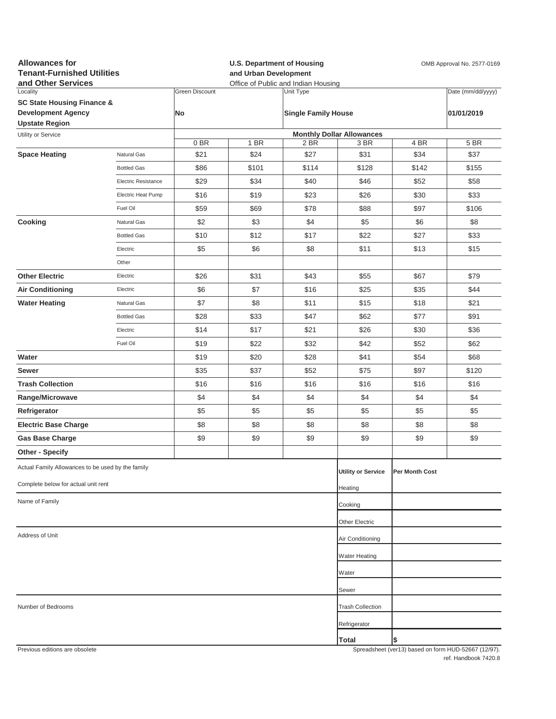| <b>Allowances for</b><br><b>Tenant-Furnished Utilities</b><br>and Other Services |                     |                             | and Urban Development | <b>U.S. Department of Housing</b><br>Office of Public and Indian Housing | OMB Approval No. 2577-0169               |                |                                                     |  |
|----------------------------------------------------------------------------------|---------------------|-----------------------------|-----------------------|--------------------------------------------------------------------------|------------------------------------------|----------------|-----------------------------------------------------|--|
| Locality<br><b>SC State Housing Finance &amp;</b><br><b>Development Agency</b>   |                     | <b>Green Discount</b><br>No |                       | Unit Type<br><b>Single Family House</b>                                  |                                          |                | Date (mm/dd/yyyy)<br>01/01/2019                     |  |
| <b>Upstate Region</b>                                                            |                     |                             |                       |                                                                          |                                          |                |                                                     |  |
| Utility or Service                                                               |                     | 0 BR                        | 1 BR                  | 2 BR                                                                     | <b>Monthly Dollar Allowances</b><br>3 BR | 4 BR           | 5 BR                                                |  |
| <b>Space Heating</b>                                                             | Natural Gas         | \$21                        | \$24                  | \$27                                                                     | \$31                                     | \$34           | \$37                                                |  |
|                                                                                  | <b>Bottled Gas</b>  | \$86                        | \$101                 | \$114                                                                    | \$128                                    | \$142          | \$155                                               |  |
|                                                                                  | Electric Resistance | \$29                        | \$34                  | \$40                                                                     | \$46                                     | \$52           | \$58                                                |  |
|                                                                                  | Electric Heat Pump  | \$16                        | \$19                  | \$23                                                                     | \$26                                     | \$30           | \$33                                                |  |
|                                                                                  | Fuel Oil            | \$59                        | \$69                  | \$78                                                                     | \$88                                     | \$97           | \$106                                               |  |
| Cooking                                                                          | Natural Gas         | \$2                         | \$3                   | \$4                                                                      | \$5                                      | \$6            | \$8                                                 |  |
|                                                                                  | <b>Bottled Gas</b>  | \$10                        | \$12                  | \$17                                                                     | \$22                                     | \$27           | \$33                                                |  |
|                                                                                  | Electric            | \$5                         | \$6                   | \$8                                                                      | \$11                                     | \$13           | \$15                                                |  |
|                                                                                  | Other               |                             |                       |                                                                          |                                          |                |                                                     |  |
| <b>Other Electric</b>                                                            | Electric            | \$26                        | \$31                  | \$43                                                                     | \$55                                     | \$67           | \$79                                                |  |
| <b>Air Conditioning</b>                                                          | Electric            | \$6                         | \$7                   | \$16                                                                     | \$25                                     | \$35           | \$44                                                |  |
| <b>Water Heating</b>                                                             | Natural Gas         | \$7                         | \$8                   | \$11                                                                     | \$15                                     | \$18           | \$21                                                |  |
|                                                                                  | <b>Bottled Gas</b>  | \$28                        | \$33                  | \$47                                                                     | \$62                                     | \$77           | \$91                                                |  |
|                                                                                  | Electric            | \$14                        | \$17                  | \$21                                                                     | \$26                                     | \$30           | \$36                                                |  |
|                                                                                  | Fuel Oil            | \$19                        | \$22                  | \$32                                                                     | \$42                                     | \$52           | \$62                                                |  |
| Water                                                                            |                     | \$19                        | \$20                  | \$28                                                                     | \$41                                     | \$54           | \$68                                                |  |
| Sewer                                                                            |                     | \$35                        | \$37                  | \$52                                                                     | \$75                                     | \$97           | \$120                                               |  |
| <b>Trash Collection</b>                                                          |                     | \$16                        | \$16                  | \$16                                                                     | \$16                                     | \$16           | \$16                                                |  |
| Range/Microwave                                                                  |                     | \$4                         | \$4                   | \$4                                                                      | \$4                                      | \$4            | \$4                                                 |  |
| Refrigerator                                                                     |                     | \$5                         | \$5                   | \$5                                                                      | \$5                                      | \$5            | \$5                                                 |  |
| <b>Electric Base Charge</b>                                                      |                     | \$8                         | \$8                   | \$8                                                                      | \$8                                      | \$8            | \$8                                                 |  |
| <b>Gas Base Charge</b>                                                           |                     | \$9                         | \$9                   | \$9                                                                      | \$9                                      | \$9            | \$9                                                 |  |
| Other - Specify                                                                  |                     |                             |                       |                                                                          |                                          |                |                                                     |  |
| Actual Family Allowances to be used by the family                                |                     |                             |                       |                                                                          | <b>Utility or Service</b>                | Per Month Cost |                                                     |  |
| Complete below for actual unit rent                                              |                     |                             |                       |                                                                          | Heating                                  |                |                                                     |  |
| Name of Family                                                                   |                     |                             |                       |                                                                          | Cooking                                  |                |                                                     |  |
|                                                                                  |                     |                             |                       |                                                                          | Other Electric                           |                |                                                     |  |
| Address of Unit                                                                  |                     |                             |                       |                                                                          | Air Conditioning                         |                |                                                     |  |
|                                                                                  |                     |                             |                       |                                                                          | <b>Water Heating</b>                     |                |                                                     |  |
|                                                                                  |                     |                             |                       |                                                                          | Water                                    |                |                                                     |  |
|                                                                                  |                     |                             |                       |                                                                          | Sewer                                    |                |                                                     |  |
| Number of Bedrooms                                                               |                     |                             |                       |                                                                          | <b>Trash Collection</b>                  |                |                                                     |  |
|                                                                                  |                     |                             |                       |                                                                          | Refrigerator                             |                |                                                     |  |
|                                                                                  |                     |                             |                       |                                                                          | Total                                    | \$             |                                                     |  |
| Previous editions are obsolete                                                   |                     |                             |                       |                                                                          |                                          |                | Spreadsheet (ver13) based on form HUD-52667 (12/97) |  |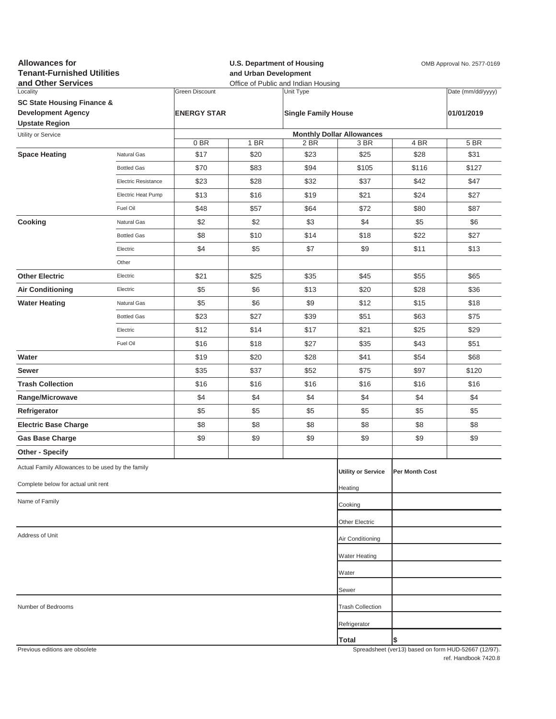| <b>Allowances for</b><br><b>Tenant-Furnished Utilities</b><br>and Other Services |                     |                       |              | <b>U.S. Department of Housing</b><br>OMB Approval No. 2577-0169<br>and Urban Development<br>Office of Public and Indian Housing |                                  |                                                          |                   |
|----------------------------------------------------------------------------------|---------------------|-----------------------|--------------|---------------------------------------------------------------------------------------------------------------------------------|----------------------------------|----------------------------------------------------------|-------------------|
| Locality                                                                         |                     | <b>Green Discount</b> |              | Unit Type                                                                                                                       |                                  |                                                          | Date (mm/dd/yyyy) |
| <b>SC State Housing Finance &amp;</b>                                            |                     |                       |              |                                                                                                                                 |                                  |                                                          |                   |
| <b>Development Agency</b><br><b>Upstate Region</b>                               |                     | <b>ENERGY STAR</b>    |              | <b>Single Family House</b>                                                                                                      |                                  |                                                          | 01/01/2019        |
| Utility or Service                                                               |                     |                       |              |                                                                                                                                 | <b>Monthly Dollar Allowances</b> |                                                          |                   |
| <b>Space Heating</b>                                                             | Natural Gas         | 0 BR<br>\$17          | 1 BR<br>\$20 | 2 BR<br>\$23                                                                                                                    | 3 BR<br>\$25                     | 4 BR<br>\$28                                             | 5 BR<br>\$31      |
|                                                                                  | <b>Bottled Gas</b>  | \$70                  | \$83         | \$94                                                                                                                            | \$105                            | \$116                                                    | \$127             |
|                                                                                  | Electric Resistance | \$23                  | \$28         | \$32                                                                                                                            | \$37                             | \$42                                                     | \$47              |
|                                                                                  | Electric Heat Pump  | \$13                  | \$16         | \$19                                                                                                                            | \$21                             | \$24                                                     | \$27              |
|                                                                                  |                     |                       |              |                                                                                                                                 |                                  |                                                          |                   |
|                                                                                  | Fuel Oil            | \$48                  | \$57         | \$64                                                                                                                            | \$72                             | \$80                                                     | \$87              |
| Cooking                                                                          | Natural Gas         | \$2                   | \$2          | \$3                                                                                                                             | \$4                              | \$5                                                      | \$6               |
|                                                                                  | <b>Bottled Gas</b>  | \$8                   | \$10         | \$14                                                                                                                            | \$18                             | \$22                                                     | \$27              |
|                                                                                  | Electric            | \$4                   | \$5          | \$7                                                                                                                             | \$9                              | \$11                                                     | \$13              |
|                                                                                  | Other               |                       |              |                                                                                                                                 |                                  |                                                          |                   |
| <b>Other Electric</b>                                                            | Electric            | \$21                  | \$25         | \$35                                                                                                                            | \$45                             | \$55                                                     | \$65              |
| <b>Air Conditioning</b>                                                          | Electric            | \$5                   | \$6          | \$13                                                                                                                            | \$20                             | \$28                                                     | \$36              |
| <b>Water Heating</b>                                                             | Natural Gas         | \$5                   | \$6          | \$9                                                                                                                             | \$12                             | \$15                                                     | \$18              |
|                                                                                  | <b>Bottled Gas</b>  | \$23                  | \$27         | \$39                                                                                                                            | \$51                             | \$63                                                     | \$75              |
|                                                                                  | Electric            | \$12                  | \$14         | \$17                                                                                                                            | \$21                             | \$25                                                     | \$29              |
|                                                                                  | Fuel Oil            | \$16                  | \$18         | \$27                                                                                                                            | \$35                             | \$43                                                     | \$51              |
| Water                                                                            |                     | \$19                  | \$20         | \$28                                                                                                                            | \$41                             | \$54                                                     | \$68              |
| Sewer                                                                            |                     | \$35                  | \$37         | \$52                                                                                                                            | \$75                             | \$97                                                     | \$120             |
| <b>Trash Collection</b>                                                          |                     | \$16                  | \$16         | \$16                                                                                                                            | \$16                             | \$16                                                     | \$16              |
| Range/Microwave                                                                  |                     | \$4                   | \$4          | \$4                                                                                                                             | \$4                              | \$4                                                      | \$4               |
| Refrigerator                                                                     |                     | \$5                   | \$5          | \$5                                                                                                                             | \$5                              | \$5                                                      | \$5               |
| <b>Electric Base Charge</b>                                                      |                     | \$8                   | \$8          | \$8                                                                                                                             | \$8                              | \$8                                                      | \$8               |
| <b>Gas Base Charge</b>                                                           |                     | \$9                   | \$9          | \$9                                                                                                                             | \$9                              | \$9                                                      | \$9               |
| <b>Other - Specify</b>                                                           |                     |                       |              |                                                                                                                                 |                                  |                                                          |                   |
| Actual Family Allowances to be used by the family                                |                     |                       |              |                                                                                                                                 | <b>Utility or Service</b>        | Per Month Cost                                           |                   |
| Complete below for actual unit rent                                              |                     |                       |              |                                                                                                                                 | Heating                          |                                                          |                   |
| Name of Family                                                                   |                     |                       |              |                                                                                                                                 | Cooking                          |                                                          |                   |
|                                                                                  |                     |                       |              |                                                                                                                                 | Other Electric                   |                                                          |                   |
| Address of Unit                                                                  |                     |                       |              |                                                                                                                                 | Air Conditioning                 |                                                          |                   |
|                                                                                  |                     |                       |              |                                                                                                                                 | <b>Water Heating</b>             |                                                          |                   |
|                                                                                  |                     |                       |              |                                                                                                                                 | Water                            |                                                          |                   |
|                                                                                  |                     |                       |              |                                                                                                                                 | Sewer                            |                                                          |                   |
| Number of Bedrooms                                                               |                     |                       |              |                                                                                                                                 | <b>Trash Collection</b>          |                                                          |                   |
|                                                                                  |                     |                       |              |                                                                                                                                 |                                  |                                                          |                   |
|                                                                                  |                     |                       |              |                                                                                                                                 | Refrigerator                     |                                                          |                   |
| Provious editions are obsolete                                                   |                     |                       |              |                                                                                                                                 | Total                            | S<br>Spreadsheet (ver13) based on form HUD-52667 (12/07) |                   |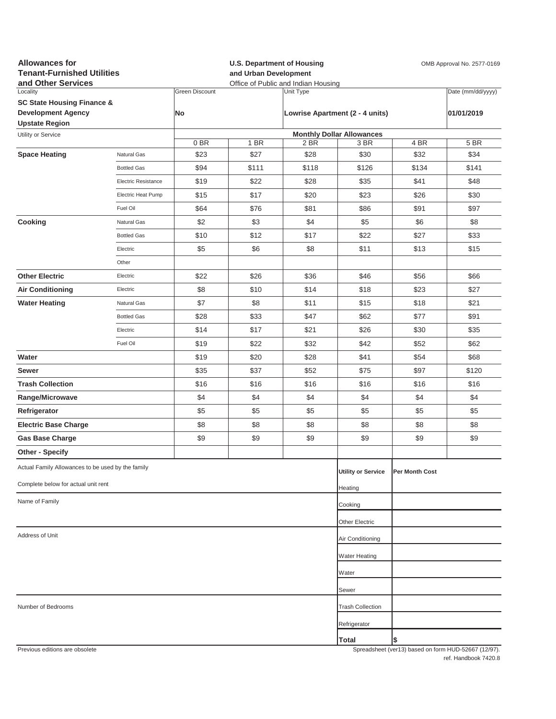| <b>Allowances for</b><br><b>Tenant-Furnished Utilities</b><br>and Other Services |                            |                      | and Urban Development | <b>U.S. Department of Housing</b><br>OMB Approval No. 2577-0169<br>Office of Public and Indian Housing |                                          |                |                                                     |
|----------------------------------------------------------------------------------|----------------------------|----------------------|-----------------------|--------------------------------------------------------------------------------------------------------|------------------------------------------|----------------|-----------------------------------------------------|
| Locality<br><b>SC State Housing Finance &amp;</b><br><b>Development Agency</b>   |                            | Green Discount<br>No |                       | Unit Type<br>Lowrise Apartment (2 - 4 units)                                                           |                                          |                | Date (mm/dd/yyyy)<br>01/01/2019                     |
| <b>Upstate Region</b>                                                            |                            |                      |                       |                                                                                                        |                                          |                |                                                     |
| Utility or Service                                                               |                            | 0BR                  | 1 BR                  | 2 BR                                                                                                   | <b>Monthly Dollar Allowances</b><br>3 BR | 4 BR           | 5 BR                                                |
| <b>Space Heating</b>                                                             | Natural Gas                | \$23                 | \$27                  | \$28                                                                                                   | \$30                                     | \$32           | \$34                                                |
|                                                                                  | <b>Bottled Gas</b>         | \$94                 | \$111                 | \$118                                                                                                  | \$126                                    | \$134          | \$141                                               |
|                                                                                  | <b>Electric Resistance</b> | \$19                 | \$22                  | \$28                                                                                                   | \$35                                     | \$41           | \$48                                                |
|                                                                                  | Electric Heat Pump         | \$15                 | \$17                  | \$20                                                                                                   | \$23                                     | \$26           | \$30                                                |
|                                                                                  | Fuel Oil                   | \$64                 | \$76                  | \$81                                                                                                   | \$86                                     | \$91           | \$97                                                |
| Cooking                                                                          | Natural Gas                | \$2                  | \$3                   | \$4                                                                                                    | \$5                                      | \$6            | \$8                                                 |
|                                                                                  | <b>Bottled Gas</b>         | \$10                 | \$12                  | \$17                                                                                                   | \$22                                     | \$27           | \$33                                                |
|                                                                                  | Electric                   | \$5                  | \$6                   | \$8                                                                                                    | \$11                                     | \$13           | \$15                                                |
|                                                                                  | Other                      |                      |                       |                                                                                                        |                                          |                |                                                     |
| <b>Other Electric</b>                                                            | Electric                   | \$22                 | \$26                  | \$36                                                                                                   | \$46                                     | \$56           | \$66                                                |
| <b>Air Conditioning</b>                                                          | Electric                   | \$8                  | \$10                  | \$14                                                                                                   | \$18                                     | \$23           | \$27                                                |
| <b>Water Heating</b>                                                             | Natural Gas                | \$7                  | \$8                   | \$11                                                                                                   | \$15                                     | \$18           | \$21                                                |
|                                                                                  | <b>Bottled Gas</b>         | \$28                 | \$33                  | \$47                                                                                                   | \$62                                     | \$77           | \$91                                                |
|                                                                                  | Electric                   | \$14                 | \$17                  | \$21                                                                                                   | \$26                                     | \$30           | \$35                                                |
|                                                                                  | Fuel Oil                   | \$19                 | \$22                  | \$32                                                                                                   | \$42                                     | \$52           | \$62                                                |
| Water                                                                            |                            | \$19                 | \$20                  | \$28                                                                                                   | \$41                                     | \$54           | \$68                                                |
| Sewer                                                                            |                            | \$35                 | \$37                  | \$52                                                                                                   | \$75                                     | \$97           | \$120                                               |
| <b>Trash Collection</b>                                                          |                            | \$16                 | \$16                  | \$16                                                                                                   | \$16                                     | \$16           | \$16                                                |
| Range/Microwave                                                                  |                            | \$4                  | \$4                   | \$4                                                                                                    | \$4                                      | \$4            | \$4                                                 |
| Refrigerator                                                                     |                            | \$5                  | \$5                   | \$5                                                                                                    | \$5                                      | \$5            | \$5                                                 |
| <b>Electric Base Charge</b>                                                      |                            | \$8                  | \$8                   | \$8                                                                                                    | \$8                                      | \$8            | \$8                                                 |
| <b>Gas Base Charge</b>                                                           |                            | \$9                  | \$9                   | \$9                                                                                                    | \$9                                      | \$9            | \$9                                                 |
| Other - Specify                                                                  |                            |                      |                       |                                                                                                        |                                          |                |                                                     |
| Actual Family Allowances to be used by the family                                |                            |                      |                       |                                                                                                        | <b>Utility or Service</b>                | Per Month Cost |                                                     |
| Complete below for actual unit rent                                              |                            |                      |                       |                                                                                                        | Heating                                  |                |                                                     |
| Name of Family                                                                   |                            |                      |                       |                                                                                                        | Cooking                                  |                |                                                     |
|                                                                                  |                            |                      |                       |                                                                                                        | Other Electric                           |                |                                                     |
| Address of Unit                                                                  |                            |                      |                       |                                                                                                        | Air Conditioning                         |                |                                                     |
|                                                                                  |                            |                      |                       |                                                                                                        | Water Heating                            |                |                                                     |
|                                                                                  |                            |                      |                       |                                                                                                        | Water                                    |                |                                                     |
|                                                                                  |                            |                      |                       |                                                                                                        | Sewer                                    |                |                                                     |
| Number of Bedrooms                                                               |                            |                      |                       |                                                                                                        | <b>Trash Collection</b>                  |                |                                                     |
|                                                                                  |                            |                      |                       |                                                                                                        | Refrigerator                             |                |                                                     |
|                                                                                  |                            |                      |                       |                                                                                                        | <b>Total</b>                             | \$             |                                                     |
| Previous editions are obsolete                                                   |                            |                      |                       |                                                                                                        |                                          |                | Spreadsheet (ver13) hased on form HUD-52667 (12/97) |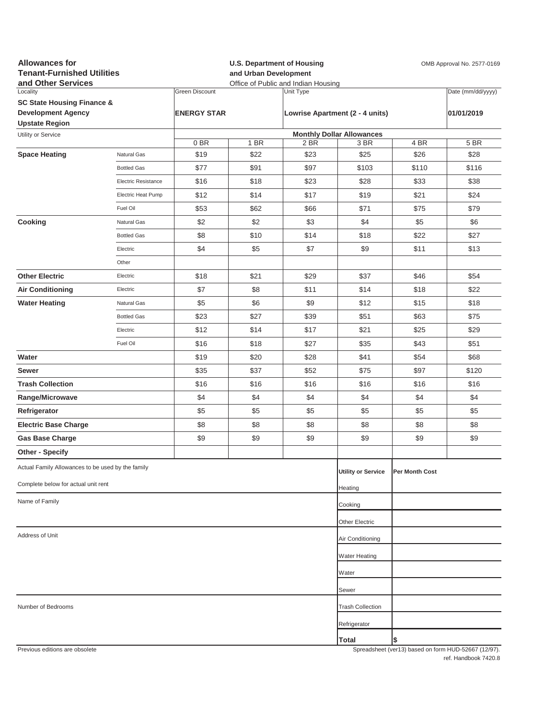| Locality<br>Date (mm/dd/yyyy)<br><b>Green Discount</b><br>Unit Type<br><b>SC State Housing Finance &amp;</b><br><b>Development Agency</b><br><b>ENERGY STAR</b><br>Lowrise Apartment (2 - 4 units)<br>01/01/2019<br><b>Upstate Region</b><br><b>Monthly Dollar Allowances</b><br>Utility or Service<br>0BR<br>4 BR<br>5 BR<br>1 BR<br>2 BR<br>3 BR<br>\$22<br>\$23<br>\$26<br><b>Space Heating</b><br>\$19<br>\$25<br>\$28<br><b>Natural Gas</b><br>\$97<br><b>Bottled Gas</b><br>\$77<br>\$91<br>\$103<br>\$110<br>\$116<br>\$16<br>\$18<br>\$23<br>\$28<br>\$33<br>\$38<br>Electric Resistance<br>\$12<br>\$14<br>\$17<br>\$19<br>\$21<br>\$24<br>Electric Heat Pump<br>\$53<br>\$62<br>\$66<br>\$71<br>\$75<br>\$79<br>Fuel Oil<br>Cooking<br>\$2<br>\$2<br>\$3<br>\$4<br>\$5<br>\$6<br>Natural Gas<br>\$14<br>\$8<br>\$10<br>\$18<br>\$22<br>\$27<br><b>Bottled Gas</b><br>\$4<br>\$5<br>\$7<br>\$9<br>\$11<br>\$13<br>Electric<br>Other<br><b>Other Electric</b><br>\$18<br>\$21<br>\$29<br>\$37<br>\$46<br>\$54<br>Electric<br>\$11<br>\$7<br>\$8<br>\$14<br>\$18<br>\$22<br><b>Air Conditioning</b><br>Electric<br><b>Water Heating</b><br>\$5<br>\$6<br>\$9<br>\$12<br>\$15<br>\$18<br>Natural Gas<br>\$27<br>\$39<br>\$23<br>\$51<br>\$63<br>\$75<br><b>Bottled Gas</b><br>\$12<br>\$14<br>\$17<br>\$21<br>\$25<br>\$29<br>Electric<br>\$27<br>\$16<br>\$18<br>\$35<br>\$43<br>\$51<br>Fuel Oil<br>Water<br>\$19<br>\$20<br>\$28<br>\$41<br>\$54<br>\$68<br>\$35<br>\$37<br>\$52<br>\$75<br>\$97<br>\$120<br>Sewer<br><b>Trash Collection</b><br>\$16<br>\$16<br>\$16<br>\$16<br>\$16<br>\$16<br>\$4<br>\$4<br>\$4<br>\$4<br>\$4<br>\$4<br>Range/Microwave<br>\$5<br>\$5<br>\$5<br>\$5<br>\$5<br>\$5<br>Refrigerator<br>\$8<br>\$8<br>\$8<br>\$8<br><b>Electric Base Charge</b><br>\$8<br>\$8<br>\$9<br>\$9<br>\$9<br>\$9<br>\$9<br>\$9<br><b>Gas Base Charge</b><br><b>Other - Specify</b><br>Actual Family Allowances to be used by the family<br><b>Utility or Service</b><br>Per Month Cost<br>Complete below for actual unit rent<br>Heating<br>Name of Family<br>Cooking<br>Other Electric<br>Address of Unit<br>Air Conditioning<br>Water Heating<br>Water<br>Sewer<br><b>Trash Collection</b><br>Number of Bedrooms<br>Refrigerator<br>Total<br>\$<br>Previous editions are obsolete<br>Spreadsheet (yer13) based on form HUD-52667 (12/97) | <b>Allowances for</b><br><b>Tenant-Furnished Utilities</b><br>and Other Services |  |  | and Urban Development | <b>U.S. Department of Housing</b><br>Office of Public and Indian Housing | OMB Approval No. 2577-0169 |  |  |  |
|--------------------------------------------------------------------------------------------------------------------------------------------------------------------------------------------------------------------------------------------------------------------------------------------------------------------------------------------------------------------------------------------------------------------------------------------------------------------------------------------------------------------------------------------------------------------------------------------------------------------------------------------------------------------------------------------------------------------------------------------------------------------------------------------------------------------------------------------------------------------------------------------------------------------------------------------------------------------------------------------------------------------------------------------------------------------------------------------------------------------------------------------------------------------------------------------------------------------------------------------------------------------------------------------------------------------------------------------------------------------------------------------------------------------------------------------------------------------------------------------------------------------------------------------------------------------------------------------------------------------------------------------------------------------------------------------------------------------------------------------------------------------------------------------------------------------------------------------------------------------------------------------------------------------------------------------------------------------------------------------------------------------------------------------------------------------------------------------------------------------------------------------------------------------------------------------------------------------------------------------------------------------------------------------------------------------------------------------------------------|----------------------------------------------------------------------------------|--|--|-----------------------|--------------------------------------------------------------------------|----------------------------|--|--|--|
|                                                                                                                                                                                                                                                                                                                                                                                                                                                                                                                                                                                                                                                                                                                                                                                                                                                                                                                                                                                                                                                                                                                                                                                                                                                                                                                                                                                                                                                                                                                                                                                                                                                                                                                                                                                                                                                                                                                                                                                                                                                                                                                                                                                                                                                                                                                                                              |                                                                                  |  |  |                       |                                                                          |                            |  |  |  |
|                                                                                                                                                                                                                                                                                                                                                                                                                                                                                                                                                                                                                                                                                                                                                                                                                                                                                                                                                                                                                                                                                                                                                                                                                                                                                                                                                                                                                                                                                                                                                                                                                                                                                                                                                                                                                                                                                                                                                                                                                                                                                                                                                                                                                                                                                                                                                              |                                                                                  |  |  |                       |                                                                          |                            |  |  |  |
|                                                                                                                                                                                                                                                                                                                                                                                                                                                                                                                                                                                                                                                                                                                                                                                                                                                                                                                                                                                                                                                                                                                                                                                                                                                                                                                                                                                                                                                                                                                                                                                                                                                                                                                                                                                                                                                                                                                                                                                                                                                                                                                                                                                                                                                                                                                                                              |                                                                                  |  |  |                       |                                                                          |                            |  |  |  |
|                                                                                                                                                                                                                                                                                                                                                                                                                                                                                                                                                                                                                                                                                                                                                                                                                                                                                                                                                                                                                                                                                                                                                                                                                                                                                                                                                                                                                                                                                                                                                                                                                                                                                                                                                                                                                                                                                                                                                                                                                                                                                                                                                                                                                                                                                                                                                              |                                                                                  |  |  |                       |                                                                          |                            |  |  |  |
|                                                                                                                                                                                                                                                                                                                                                                                                                                                                                                                                                                                                                                                                                                                                                                                                                                                                                                                                                                                                                                                                                                                                                                                                                                                                                                                                                                                                                                                                                                                                                                                                                                                                                                                                                                                                                                                                                                                                                                                                                                                                                                                                                                                                                                                                                                                                                              |                                                                                  |  |  |                       |                                                                          |                            |  |  |  |
|                                                                                                                                                                                                                                                                                                                                                                                                                                                                                                                                                                                                                                                                                                                                                                                                                                                                                                                                                                                                                                                                                                                                                                                                                                                                                                                                                                                                                                                                                                                                                                                                                                                                                                                                                                                                                                                                                                                                                                                                                                                                                                                                                                                                                                                                                                                                                              |                                                                                  |  |  |                       |                                                                          |                            |  |  |  |
|                                                                                                                                                                                                                                                                                                                                                                                                                                                                                                                                                                                                                                                                                                                                                                                                                                                                                                                                                                                                                                                                                                                                                                                                                                                                                                                                                                                                                                                                                                                                                                                                                                                                                                                                                                                                                                                                                                                                                                                                                                                                                                                                                                                                                                                                                                                                                              |                                                                                  |  |  |                       |                                                                          |                            |  |  |  |
|                                                                                                                                                                                                                                                                                                                                                                                                                                                                                                                                                                                                                                                                                                                                                                                                                                                                                                                                                                                                                                                                                                                                                                                                                                                                                                                                                                                                                                                                                                                                                                                                                                                                                                                                                                                                                                                                                                                                                                                                                                                                                                                                                                                                                                                                                                                                                              |                                                                                  |  |  |                       |                                                                          |                            |  |  |  |
|                                                                                                                                                                                                                                                                                                                                                                                                                                                                                                                                                                                                                                                                                                                                                                                                                                                                                                                                                                                                                                                                                                                                                                                                                                                                                                                                                                                                                                                                                                                                                                                                                                                                                                                                                                                                                                                                                                                                                                                                                                                                                                                                                                                                                                                                                                                                                              |                                                                                  |  |  |                       |                                                                          |                            |  |  |  |
|                                                                                                                                                                                                                                                                                                                                                                                                                                                                                                                                                                                                                                                                                                                                                                                                                                                                                                                                                                                                                                                                                                                                                                                                                                                                                                                                                                                                                                                                                                                                                                                                                                                                                                                                                                                                                                                                                                                                                                                                                                                                                                                                                                                                                                                                                                                                                              |                                                                                  |  |  |                       |                                                                          |                            |  |  |  |
|                                                                                                                                                                                                                                                                                                                                                                                                                                                                                                                                                                                                                                                                                                                                                                                                                                                                                                                                                                                                                                                                                                                                                                                                                                                                                                                                                                                                                                                                                                                                                                                                                                                                                                                                                                                                                                                                                                                                                                                                                                                                                                                                                                                                                                                                                                                                                              |                                                                                  |  |  |                       |                                                                          |                            |  |  |  |
|                                                                                                                                                                                                                                                                                                                                                                                                                                                                                                                                                                                                                                                                                                                                                                                                                                                                                                                                                                                                                                                                                                                                                                                                                                                                                                                                                                                                                                                                                                                                                                                                                                                                                                                                                                                                                                                                                                                                                                                                                                                                                                                                                                                                                                                                                                                                                              |                                                                                  |  |  |                       |                                                                          |                            |  |  |  |
|                                                                                                                                                                                                                                                                                                                                                                                                                                                                                                                                                                                                                                                                                                                                                                                                                                                                                                                                                                                                                                                                                                                                                                                                                                                                                                                                                                                                                                                                                                                                                                                                                                                                                                                                                                                                                                                                                                                                                                                                                                                                                                                                                                                                                                                                                                                                                              |                                                                                  |  |  |                       |                                                                          |                            |  |  |  |
|                                                                                                                                                                                                                                                                                                                                                                                                                                                                                                                                                                                                                                                                                                                                                                                                                                                                                                                                                                                                                                                                                                                                                                                                                                                                                                                                                                                                                                                                                                                                                                                                                                                                                                                                                                                                                                                                                                                                                                                                                                                                                                                                                                                                                                                                                                                                                              |                                                                                  |  |  |                       |                                                                          |                            |  |  |  |
|                                                                                                                                                                                                                                                                                                                                                                                                                                                                                                                                                                                                                                                                                                                                                                                                                                                                                                                                                                                                                                                                                                                                                                                                                                                                                                                                                                                                                                                                                                                                                                                                                                                                                                                                                                                                                                                                                                                                                                                                                                                                                                                                                                                                                                                                                                                                                              |                                                                                  |  |  |                       |                                                                          |                            |  |  |  |
|                                                                                                                                                                                                                                                                                                                                                                                                                                                                                                                                                                                                                                                                                                                                                                                                                                                                                                                                                                                                                                                                                                                                                                                                                                                                                                                                                                                                                                                                                                                                                                                                                                                                                                                                                                                                                                                                                                                                                                                                                                                                                                                                                                                                                                                                                                                                                              |                                                                                  |  |  |                       |                                                                          |                            |  |  |  |
|                                                                                                                                                                                                                                                                                                                                                                                                                                                                                                                                                                                                                                                                                                                                                                                                                                                                                                                                                                                                                                                                                                                                                                                                                                                                                                                                                                                                                                                                                                                                                                                                                                                                                                                                                                                                                                                                                                                                                                                                                                                                                                                                                                                                                                                                                                                                                              |                                                                                  |  |  |                       |                                                                          |                            |  |  |  |
|                                                                                                                                                                                                                                                                                                                                                                                                                                                                                                                                                                                                                                                                                                                                                                                                                                                                                                                                                                                                                                                                                                                                                                                                                                                                                                                                                                                                                                                                                                                                                                                                                                                                                                                                                                                                                                                                                                                                                                                                                                                                                                                                                                                                                                                                                                                                                              |                                                                                  |  |  |                       |                                                                          |                            |  |  |  |
|                                                                                                                                                                                                                                                                                                                                                                                                                                                                                                                                                                                                                                                                                                                                                                                                                                                                                                                                                                                                                                                                                                                                                                                                                                                                                                                                                                                                                                                                                                                                                                                                                                                                                                                                                                                                                                                                                                                                                                                                                                                                                                                                                                                                                                                                                                                                                              |                                                                                  |  |  |                       |                                                                          |                            |  |  |  |
|                                                                                                                                                                                                                                                                                                                                                                                                                                                                                                                                                                                                                                                                                                                                                                                                                                                                                                                                                                                                                                                                                                                                                                                                                                                                                                                                                                                                                                                                                                                                                                                                                                                                                                                                                                                                                                                                                                                                                                                                                                                                                                                                                                                                                                                                                                                                                              |                                                                                  |  |  |                       |                                                                          |                            |  |  |  |
|                                                                                                                                                                                                                                                                                                                                                                                                                                                                                                                                                                                                                                                                                                                                                                                                                                                                                                                                                                                                                                                                                                                                                                                                                                                                                                                                                                                                                                                                                                                                                                                                                                                                                                                                                                                                                                                                                                                                                                                                                                                                                                                                                                                                                                                                                                                                                              |                                                                                  |  |  |                       |                                                                          |                            |  |  |  |
|                                                                                                                                                                                                                                                                                                                                                                                                                                                                                                                                                                                                                                                                                                                                                                                                                                                                                                                                                                                                                                                                                                                                                                                                                                                                                                                                                                                                                                                                                                                                                                                                                                                                                                                                                                                                                                                                                                                                                                                                                                                                                                                                                                                                                                                                                                                                                              |                                                                                  |  |  |                       |                                                                          |                            |  |  |  |
|                                                                                                                                                                                                                                                                                                                                                                                                                                                                                                                                                                                                                                                                                                                                                                                                                                                                                                                                                                                                                                                                                                                                                                                                                                                                                                                                                                                                                                                                                                                                                                                                                                                                                                                                                                                                                                                                                                                                                                                                                                                                                                                                                                                                                                                                                                                                                              |                                                                                  |  |  |                       |                                                                          |                            |  |  |  |
|                                                                                                                                                                                                                                                                                                                                                                                                                                                                                                                                                                                                                                                                                                                                                                                                                                                                                                                                                                                                                                                                                                                                                                                                                                                                                                                                                                                                                                                                                                                                                                                                                                                                                                                                                                                                                                                                                                                                                                                                                                                                                                                                                                                                                                                                                                                                                              |                                                                                  |  |  |                       |                                                                          |                            |  |  |  |
|                                                                                                                                                                                                                                                                                                                                                                                                                                                                                                                                                                                                                                                                                                                                                                                                                                                                                                                                                                                                                                                                                                                                                                                                                                                                                                                                                                                                                                                                                                                                                                                                                                                                                                                                                                                                                                                                                                                                                                                                                                                                                                                                                                                                                                                                                                                                                              |                                                                                  |  |  |                       |                                                                          |                            |  |  |  |
|                                                                                                                                                                                                                                                                                                                                                                                                                                                                                                                                                                                                                                                                                                                                                                                                                                                                                                                                                                                                                                                                                                                                                                                                                                                                                                                                                                                                                                                                                                                                                                                                                                                                                                                                                                                                                                                                                                                                                                                                                                                                                                                                                                                                                                                                                                                                                              |                                                                                  |  |  |                       |                                                                          |                            |  |  |  |
|                                                                                                                                                                                                                                                                                                                                                                                                                                                                                                                                                                                                                                                                                                                                                                                                                                                                                                                                                                                                                                                                                                                                                                                                                                                                                                                                                                                                                                                                                                                                                                                                                                                                                                                                                                                                                                                                                                                                                                                                                                                                                                                                                                                                                                                                                                                                                              |                                                                                  |  |  |                       |                                                                          |                            |  |  |  |
|                                                                                                                                                                                                                                                                                                                                                                                                                                                                                                                                                                                                                                                                                                                                                                                                                                                                                                                                                                                                                                                                                                                                                                                                                                                                                                                                                                                                                                                                                                                                                                                                                                                                                                                                                                                                                                                                                                                                                                                                                                                                                                                                                                                                                                                                                                                                                              |                                                                                  |  |  |                       |                                                                          |                            |  |  |  |
|                                                                                                                                                                                                                                                                                                                                                                                                                                                                                                                                                                                                                                                                                                                                                                                                                                                                                                                                                                                                                                                                                                                                                                                                                                                                                                                                                                                                                                                                                                                                                                                                                                                                                                                                                                                                                                                                                                                                                                                                                                                                                                                                                                                                                                                                                                                                                              |                                                                                  |  |  |                       |                                                                          |                            |  |  |  |
|                                                                                                                                                                                                                                                                                                                                                                                                                                                                                                                                                                                                                                                                                                                                                                                                                                                                                                                                                                                                                                                                                                                                                                                                                                                                                                                                                                                                                                                                                                                                                                                                                                                                                                                                                                                                                                                                                                                                                                                                                                                                                                                                                                                                                                                                                                                                                              |                                                                                  |  |  |                       |                                                                          |                            |  |  |  |
|                                                                                                                                                                                                                                                                                                                                                                                                                                                                                                                                                                                                                                                                                                                                                                                                                                                                                                                                                                                                                                                                                                                                                                                                                                                                                                                                                                                                                                                                                                                                                                                                                                                                                                                                                                                                                                                                                                                                                                                                                                                                                                                                                                                                                                                                                                                                                              |                                                                                  |  |  |                       |                                                                          |                            |  |  |  |
|                                                                                                                                                                                                                                                                                                                                                                                                                                                                                                                                                                                                                                                                                                                                                                                                                                                                                                                                                                                                                                                                                                                                                                                                                                                                                                                                                                                                                                                                                                                                                                                                                                                                                                                                                                                                                                                                                                                                                                                                                                                                                                                                                                                                                                                                                                                                                              |                                                                                  |  |  |                       |                                                                          |                            |  |  |  |
|                                                                                                                                                                                                                                                                                                                                                                                                                                                                                                                                                                                                                                                                                                                                                                                                                                                                                                                                                                                                                                                                                                                                                                                                                                                                                                                                                                                                                                                                                                                                                                                                                                                                                                                                                                                                                                                                                                                                                                                                                                                                                                                                                                                                                                                                                                                                                              |                                                                                  |  |  |                       |                                                                          |                            |  |  |  |
|                                                                                                                                                                                                                                                                                                                                                                                                                                                                                                                                                                                                                                                                                                                                                                                                                                                                                                                                                                                                                                                                                                                                                                                                                                                                                                                                                                                                                                                                                                                                                                                                                                                                                                                                                                                                                                                                                                                                                                                                                                                                                                                                                                                                                                                                                                                                                              |                                                                                  |  |  |                       |                                                                          |                            |  |  |  |
|                                                                                                                                                                                                                                                                                                                                                                                                                                                                                                                                                                                                                                                                                                                                                                                                                                                                                                                                                                                                                                                                                                                                                                                                                                                                                                                                                                                                                                                                                                                                                                                                                                                                                                                                                                                                                                                                                                                                                                                                                                                                                                                                                                                                                                                                                                                                                              |                                                                                  |  |  |                       |                                                                          |                            |  |  |  |
|                                                                                                                                                                                                                                                                                                                                                                                                                                                                                                                                                                                                                                                                                                                                                                                                                                                                                                                                                                                                                                                                                                                                                                                                                                                                                                                                                                                                                                                                                                                                                                                                                                                                                                                                                                                                                                                                                                                                                                                                                                                                                                                                                                                                                                                                                                                                                              |                                                                                  |  |  |                       |                                                                          |                            |  |  |  |
|                                                                                                                                                                                                                                                                                                                                                                                                                                                                                                                                                                                                                                                                                                                                                                                                                                                                                                                                                                                                                                                                                                                                                                                                                                                                                                                                                                                                                                                                                                                                                                                                                                                                                                                                                                                                                                                                                                                                                                                                                                                                                                                                                                                                                                                                                                                                                              |                                                                                  |  |  |                       |                                                                          |                            |  |  |  |
|                                                                                                                                                                                                                                                                                                                                                                                                                                                                                                                                                                                                                                                                                                                                                                                                                                                                                                                                                                                                                                                                                                                                                                                                                                                                                                                                                                                                                                                                                                                                                                                                                                                                                                                                                                                                                                                                                                                                                                                                                                                                                                                                                                                                                                                                                                                                                              |                                                                                  |  |  |                       |                                                                          |                            |  |  |  |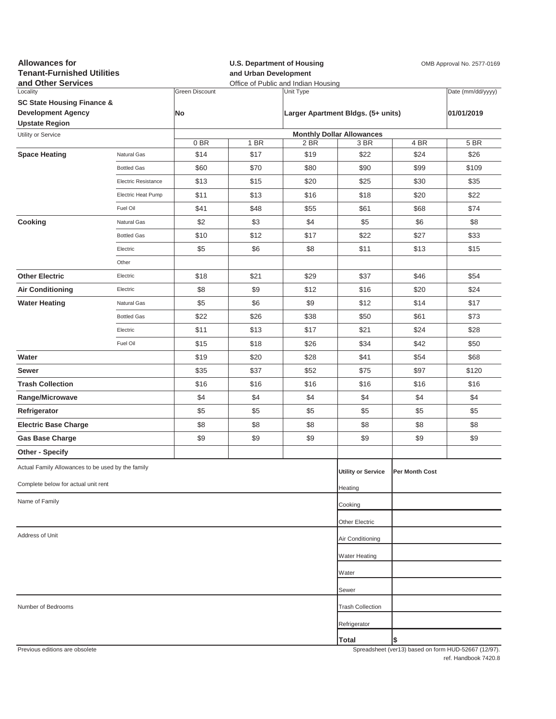| <b>Allowances for</b><br><b>Tenant-Furnished Utilities</b><br>and Other Services |                            | and Urban Development | <b>U.S. Department of Housing</b><br>Office of Public and Indian Housing | OMB Approval No. 2577-0169 |                                    |                       |                                                     |  |
|----------------------------------------------------------------------------------|----------------------------|-----------------------|--------------------------------------------------------------------------|----------------------------|------------------------------------|-----------------------|-----------------------------------------------------|--|
| Locality                                                                         |                            | Green Discount        |                                                                          | Unit Type                  |                                    |                       | Date (mm/dd/yyyy)                                   |  |
| <b>SC State Housing Finance &amp;</b>                                            |                            |                       |                                                                          |                            |                                    |                       |                                                     |  |
| <b>Development Agency</b><br><b>Upstate Region</b>                               |                            | <b>No</b>             |                                                                          |                            | Larger Apartment Bldgs. (5+ units) |                       | 01/01/2019                                          |  |
| Utility or Service                                                               |                            |                       |                                                                          |                            | <b>Monthly Dollar Allowances</b>   |                       |                                                     |  |
|                                                                                  |                            | 0B                    | 1 BR                                                                     | 2 BR                       | 3 BR                               | 4 BR                  | 5 BR                                                |  |
| <b>Space Heating</b>                                                             | Natural Gas                | \$14                  | \$17                                                                     | \$19                       | \$22                               | \$24                  | \$26                                                |  |
|                                                                                  | <b>Bottled Gas</b>         | \$60                  | \$70                                                                     | \$80                       | \$90                               | \$99                  | \$109                                               |  |
|                                                                                  | <b>Electric Resistance</b> | \$13                  | \$15                                                                     | \$20                       | \$25                               | \$30                  | \$35                                                |  |
|                                                                                  | Electric Heat Pump         | \$11                  | \$13                                                                     | \$16                       | \$18                               | \$20                  | \$22                                                |  |
|                                                                                  | Fuel Oil                   | \$41                  | \$48                                                                     | \$55                       | \$61                               | \$68                  | \$74                                                |  |
| Cooking                                                                          | Natural Gas                | \$2                   | \$3                                                                      | \$4                        | \$5                                | \$6                   | \$8                                                 |  |
|                                                                                  | <b>Bottled Gas</b>         | \$10                  | \$12                                                                     | \$17                       | \$22                               | \$27                  | \$33                                                |  |
|                                                                                  | Electric                   | \$5                   | \$6                                                                      | \$8                        | \$11                               | \$13                  | \$15                                                |  |
|                                                                                  | Other                      |                       |                                                                          |                            |                                    |                       |                                                     |  |
| <b>Other Electric</b>                                                            | Electric                   | \$18                  | \$21                                                                     | \$29                       | \$37                               | \$46                  | \$54                                                |  |
| <b>Air Conditioning</b>                                                          | Electric                   | \$8                   | \$9                                                                      | \$12                       | \$16                               | \$20                  | \$24                                                |  |
| <b>Water Heating</b>                                                             | Natural Gas                | \$5                   | \$6                                                                      | \$9                        | \$12                               | \$14                  | \$17                                                |  |
|                                                                                  | <b>Bottled Gas</b>         | \$22                  | \$26                                                                     | \$38                       | \$50                               | \$61                  | \$73                                                |  |
|                                                                                  | Electric                   | \$11                  | \$13                                                                     | \$17                       | \$21                               | \$24                  | \$28                                                |  |
|                                                                                  | Fuel Oil                   | \$15                  | \$18                                                                     | \$26                       | \$34                               | \$42                  | \$50                                                |  |
| Water                                                                            |                            | \$19                  | \$20                                                                     | \$28                       | \$41                               | \$54                  | \$68                                                |  |
| Sewer                                                                            |                            | \$35                  | \$37                                                                     | \$52                       | \$75                               | \$97                  | \$120                                               |  |
| <b>Trash Collection</b>                                                          |                            | \$16                  | \$16                                                                     | \$16                       | \$16                               | \$16                  | \$16                                                |  |
| Range/Microwave                                                                  |                            | \$4                   | \$4                                                                      | \$4                        | \$4                                | \$4                   | \$4                                                 |  |
| Refrigerator                                                                     |                            | \$5                   | \$5                                                                      | \$5                        | \$5                                | \$5                   | \$5                                                 |  |
| <b>Electric Base Charge</b>                                                      |                            | \$8                   | \$8                                                                      | \$8                        | \$8                                | \$8                   | \$8                                                 |  |
| <b>Gas Base Charge</b>                                                           |                            | \$9                   | \$9                                                                      | \$9                        | \$9                                | \$9                   | \$9                                                 |  |
| Other - Specify                                                                  |                            |                       |                                                                          |                            |                                    |                       |                                                     |  |
| Actual Family Allowances to be used by the family                                |                            |                       |                                                                          |                            |                                    |                       |                                                     |  |
|                                                                                  |                            |                       |                                                                          |                            | <b>Utility or Service</b>          | <b>Per Month Cost</b> |                                                     |  |
| Complete below for actual unit rent                                              |                            |                       |                                                                          |                            | Heating                            |                       |                                                     |  |
| Name of Family                                                                   |                            |                       |                                                                          |                            | Cooking                            |                       |                                                     |  |
|                                                                                  |                            |                       |                                                                          |                            | Other Electric                     |                       |                                                     |  |
| Address of Unit                                                                  |                            |                       |                                                                          |                            | Air Conditioning                   |                       |                                                     |  |
|                                                                                  |                            |                       |                                                                          |                            | <b>Water Heating</b>               |                       |                                                     |  |
|                                                                                  |                            |                       |                                                                          |                            |                                    |                       |                                                     |  |
|                                                                                  |                            |                       |                                                                          |                            | Water                              |                       |                                                     |  |
|                                                                                  |                            |                       |                                                                          |                            | Sewer                              |                       |                                                     |  |
| Number of Bedrooms                                                               |                            |                       |                                                                          |                            | <b>Trash Collection</b>            |                       |                                                     |  |
|                                                                                  |                            |                       |                                                                          |                            | Refrigerator                       |                       |                                                     |  |
|                                                                                  |                            |                       |                                                                          |                            | <b>Total</b>                       | \$                    |                                                     |  |
| Previous editions are obsolete                                                   |                            |                       |                                                                          |                            |                                    |                       | Spreadsheet (ver13) hased on form HUD-52667 (12/97) |  |